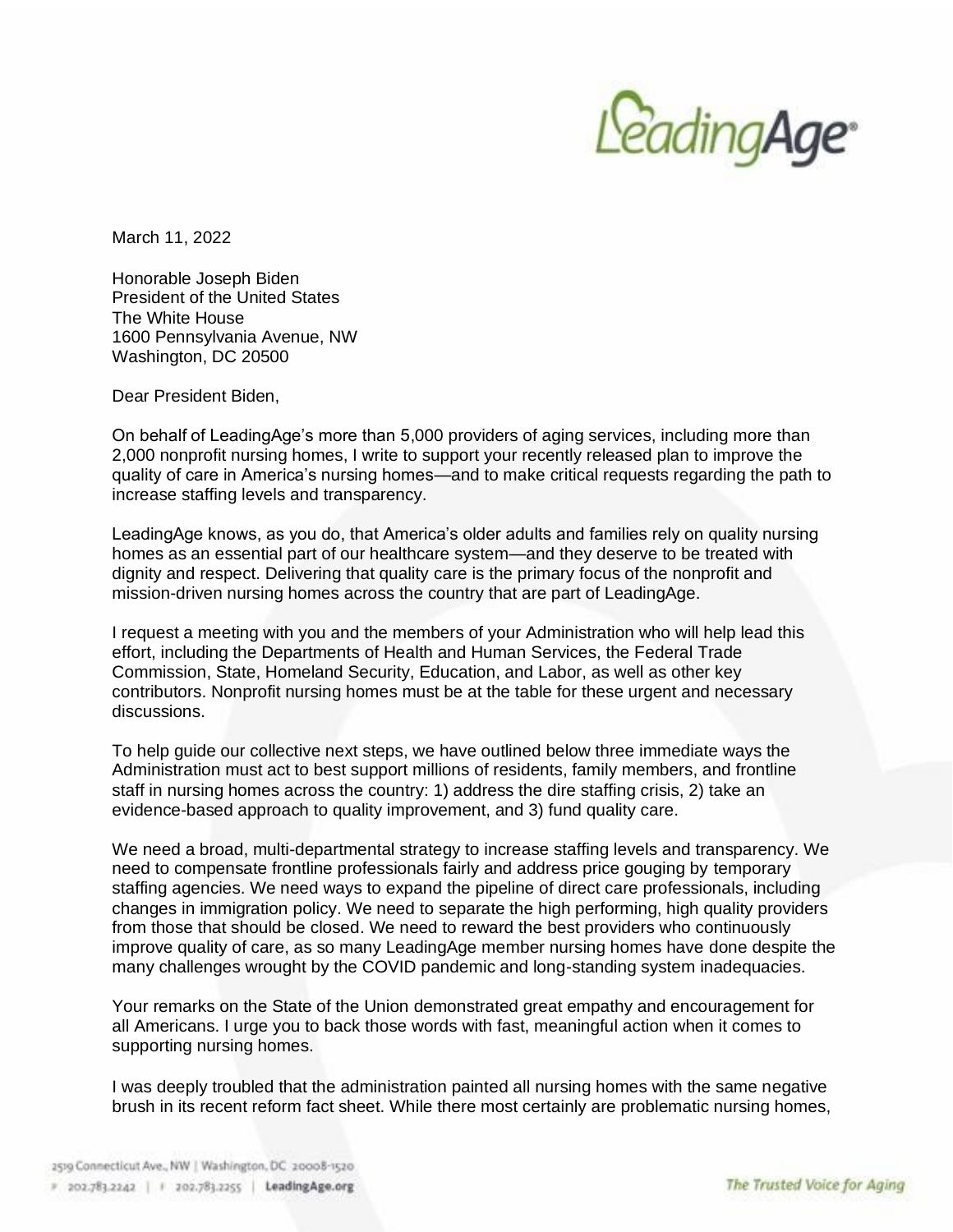

March 11, 2022

Honorable Joseph Biden President of the United States The White House 1600 Pennsylvania Avenue, NW Washington, DC 20500

Dear President Biden,

On behalf of LeadingAge's more than 5,000 providers of aging services, including more than 2,000 nonprofit nursing homes, I write to support your recently released plan to improve the quality of care in America's nursing homes—and to make critical requests regarding the path to increase staffing levels and transparency.

LeadingAge knows, as you do, that America's older adults and families rely on quality nursing homes as an essential part of our healthcare system—and they deserve to be treated with dignity and respect. Delivering that quality care is the primary focus of the nonprofit and mission-driven nursing homes across the country that are part of LeadingAge.

I request a meeting with you and the members of your Administration who will help lead this effort, including the Departments of Health and Human Services, the Federal Trade Commission, State, Homeland Security, Education, and Labor, as well as other key contributors. Nonprofit nursing homes must be at the table for these urgent and necessary discussions.

To help guide our collective next steps, we have outlined below three immediate ways the Administration must act to best support millions of residents, family members, and frontline staff in nursing homes across the country: 1) address the dire staffing crisis, 2) take an evidence-based approach to quality improvement, and 3) fund quality care.

We need a broad, multi-departmental strategy to increase staffing levels and transparency. We need to compensate frontline professionals fairly and address price gouging by temporary staffing agencies. We need ways to expand the pipeline of direct care professionals, including changes in immigration policy. We need to separate the high performing, high quality providers from those that should be closed. We need to reward the best providers who continuously improve quality of care, as so many LeadingAge member nursing homes have done despite the many challenges wrought by the COVID pandemic and long-standing system inadequacies.

Your remarks on the State of the Union demonstrated great empathy and encouragement for all Americans. I urge you to back those words with fast, meaningful action when it comes to supporting nursing homes.

I was deeply troubled that the administration painted all nursing homes with the same negative brush in its recent reform fact sheet. While there most certainly are problematic nursing homes,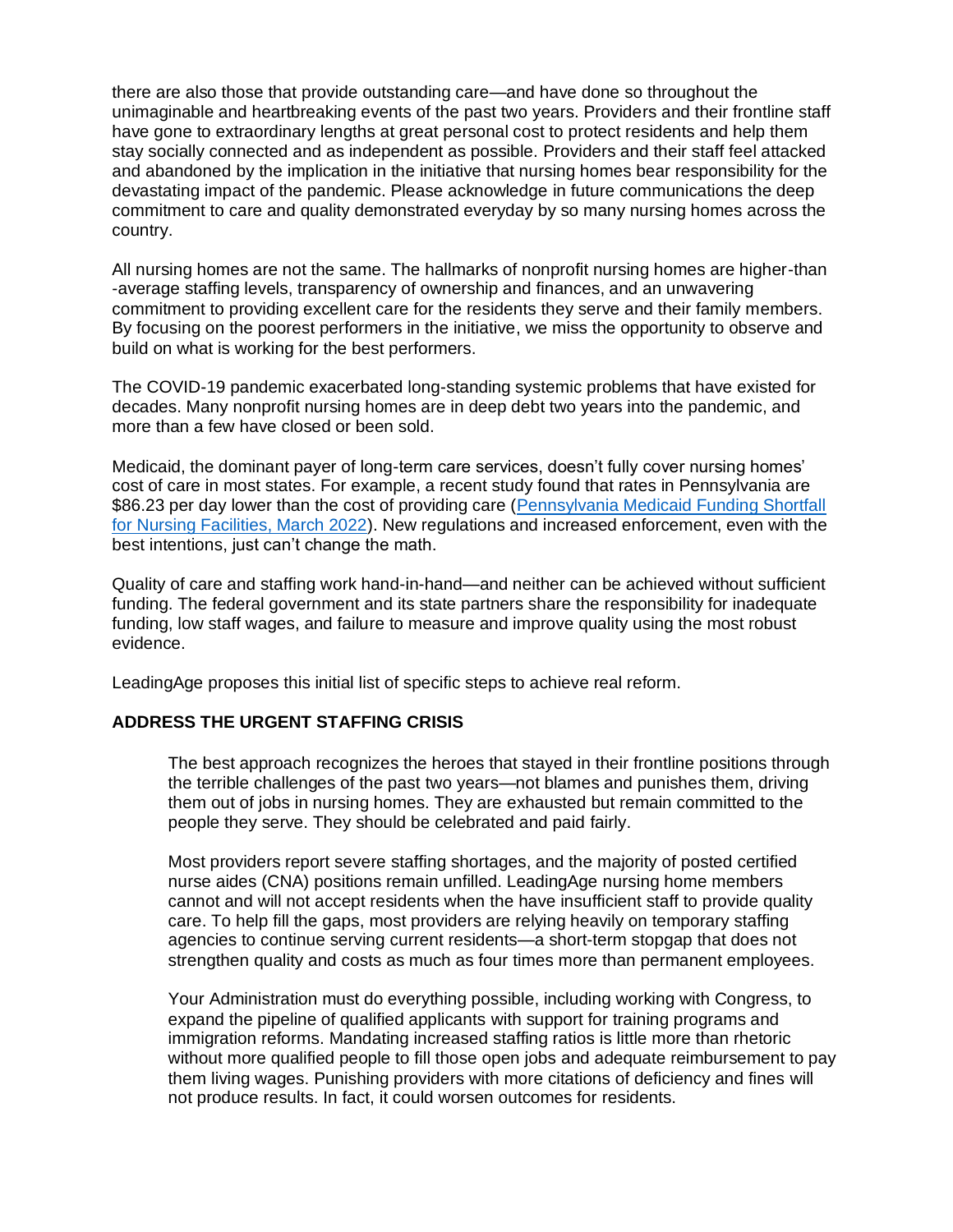there are also those that provide outstanding care—and have done so throughout the unimaginable and heartbreaking events of the past two years. Providers and their frontline staff have gone to extraordinary lengths at great personal cost to protect residents and help them stay socially connected and as independent as possible. Providers and their staff feel attacked and abandoned by the implication in the initiative that nursing homes bear responsibility for the devastating impact of the pandemic. Please acknowledge in future communications the deep commitment to care and quality demonstrated everyday by so many nursing homes across the country.

All nursing homes are not the same. The hallmarks of nonprofit nursing homes are higher-than -average staffing levels, transparency of ownership and finances, and an unwavering commitment to providing excellent care for the residents they serve and their family members. By focusing on the poorest performers in the initiative, we miss the opportunity to observe and build on what is working for the best performers.

The COVID-19 pandemic exacerbated long-standing systemic problems that have existed for decades. Many nonprofit nursing homes are in deep debt two years into the pandemic, and more than a few have closed or been sold.

Medicaid, the dominant payer of long-term care services, doesn't fully cover nursing homes' cost of care in most states. For example, a recent study found that rates in Pennsylvania are \$86.23 per day lower than the cost of providing care (Pennsylvania Medicaid Funding Shortfall [for Nursing Facilities, March 2022\)](https://www.leadingagepa.org/docs/default-source/advocacy-policy/rkl). New regulations and increased enforcement, even with the best intentions, just can't change the math.

Quality of care and staffing work hand-in-hand—and neither can be achieved without sufficient funding. The federal government and its state partners share the responsibility for inadequate funding, low staff wages, and failure to measure and improve quality using the most robust evidence.

LeadingAge proposes this initial list of specific steps to achieve real reform.

## **ADDRESS THE URGENT STAFFING CRISIS**

The best approach recognizes the heroes that stayed in their frontline positions through the terrible challenges of the past two years—not blames and punishes them, driving them out of jobs in nursing homes. They are exhausted but remain committed to the people they serve. They should be celebrated and paid fairly.

Most providers report severe staffing shortages, and the majority of posted certified nurse aides (CNA) positions remain unfilled. LeadingAge nursing home members cannot and will not accept residents when the have insufficient staff to provide quality care. To help fill the gaps, most providers are relying heavily on temporary staffing agencies to continue serving current residents—a short-term stopgap that does not strengthen quality and costs as much as four times more than permanent employees.

Your Administration must do everything possible, including working with Congress, to expand the pipeline of qualified applicants with support for training programs and immigration reforms. Mandating increased staffing ratios is little more than rhetoric without more qualified people to fill those open jobs and adequate reimbursement to pay them living wages. Punishing providers with more citations of deficiency and fines will not produce results. In fact, it could worsen outcomes for residents.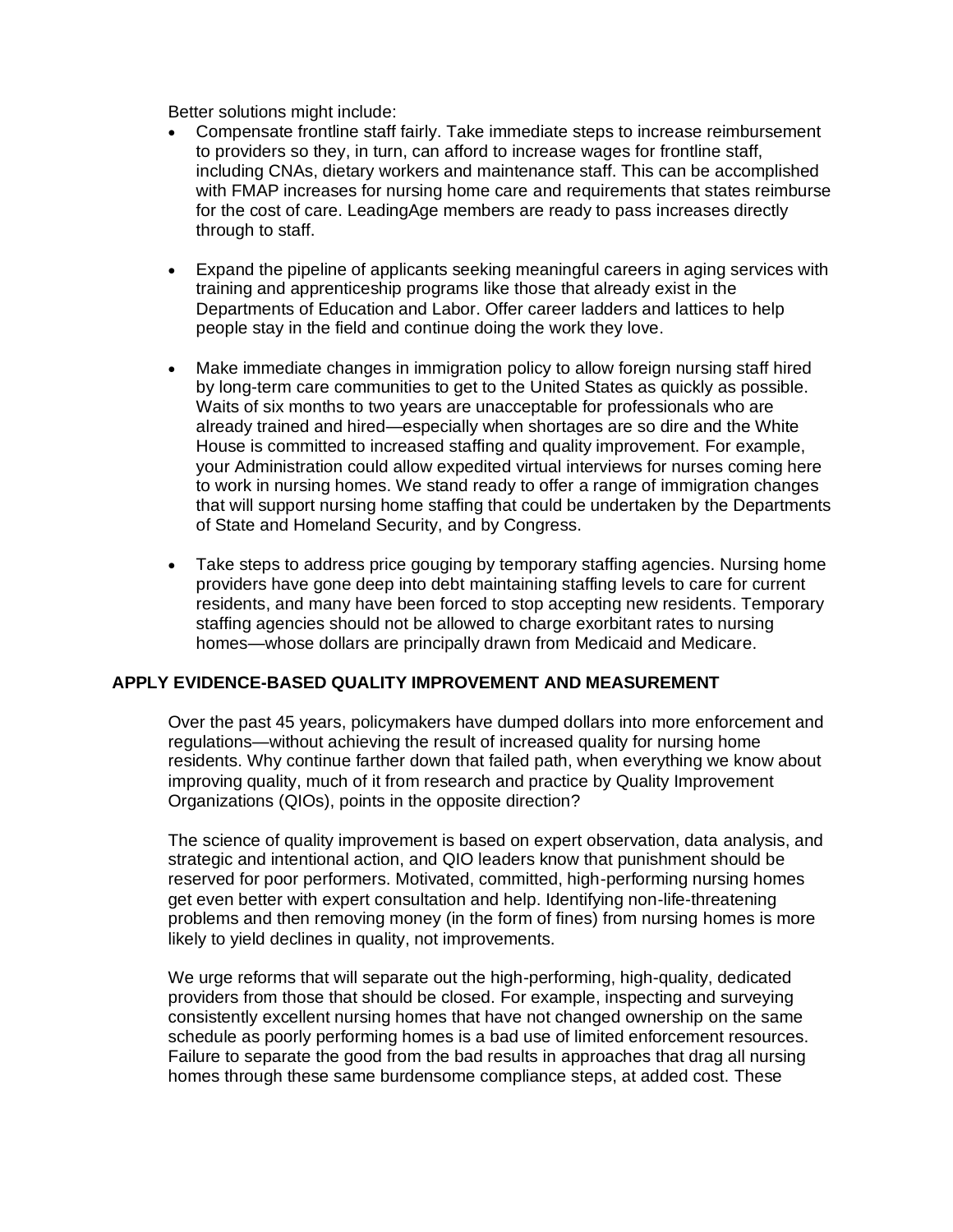Better solutions might include:

- Compensate frontline staff fairly. Take immediate steps to increase reimbursement to providers so they, in turn, can afford to increase wages for frontline staff, including CNAs, dietary workers and maintenance staff. This can be accomplished with FMAP increases for nursing home care and requirements that states reimburse for the cost of care. LeadingAge members are ready to pass increases directly through to staff.
- Expand the pipeline of applicants seeking meaningful careers in aging services with training and apprenticeship programs like those that already exist in the Departments of Education and Labor. Offer career ladders and lattices to help people stay in the field and continue doing the work they love.
- Make immediate changes in immigration policy to allow foreign nursing staff hired by long-term care communities to get to the United States as quickly as possible. Waits of six months to two years are unacceptable for professionals who are already trained and hired—especially when shortages are so dire and the White House is committed to increased staffing and quality improvement. For example, your Administration could allow expedited virtual interviews for nurses coming here to work in nursing homes. We stand ready to offer a range of immigration changes that will support nursing home staffing that could be undertaken by the Departments of State and Homeland Security, and by Congress.
- Take steps to address price gouging by temporary staffing agencies. Nursing home providers have gone deep into debt maintaining staffing levels to care for current residents, and many have been forced to stop accepting new residents. Temporary staffing agencies should not be allowed to charge exorbitant rates to nursing homes—whose dollars are principally drawn from Medicaid and Medicare.

## **APPLY EVIDENCE-BASED QUALITY IMPROVEMENT AND MEASUREMENT**

Over the past 45 years, policymakers have dumped dollars into more enforcement and regulations—without achieving the result of increased quality for nursing home residents. Why continue farther down that failed path, when everything we know about improving quality, much of it from research and practice by Quality Improvement Organizations (QIOs), points in the opposite direction?

The science of quality improvement is based on expert observation, data analysis, and strategic and intentional action, and QIO leaders know that punishment should be reserved for poor performers. Motivated, committed, high-performing nursing homes get even better with expert consultation and help. Identifying non-life-threatening problems and then removing money (in the form of fines) from nursing homes is more likely to yield declines in quality, not improvements.

We urge reforms that will separate out the high-performing, high-quality, dedicated providers from those that should be closed. For example, inspecting and surveying consistently excellent nursing homes that have not changed ownership on the same schedule as poorly performing homes is a bad use of limited enforcement resources. Failure to separate the good from the bad results in approaches that drag all nursing homes through these same burdensome compliance steps, at added cost. These